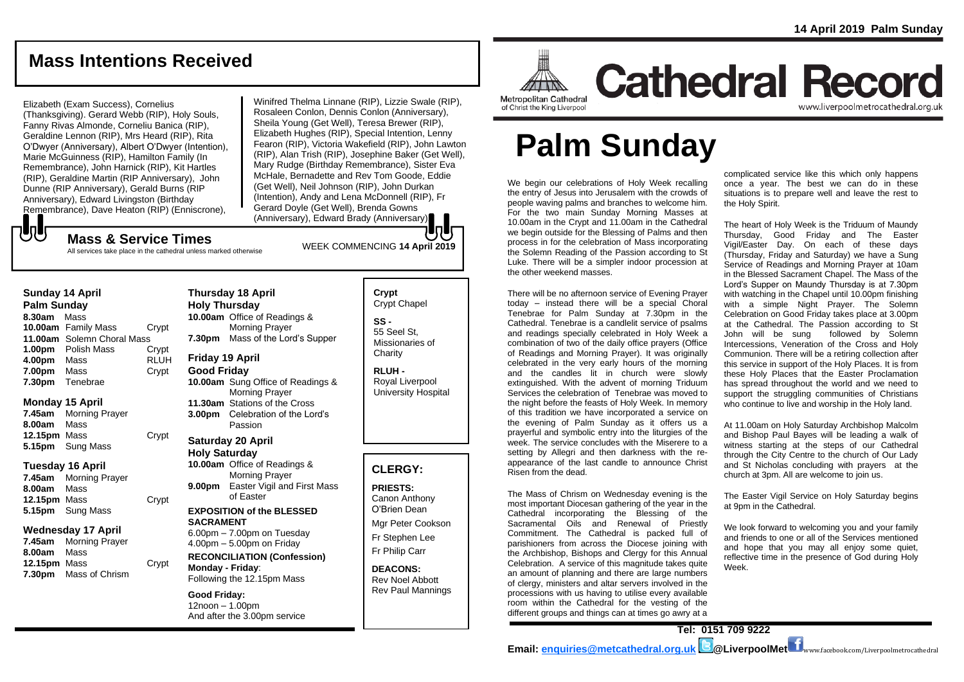## **Mass Intentions Received**

### Elizabeth (Exam Success), Cornelius

(Thanksgiving). Gerard Webb (RIP), Holy Souls, Fanny Rivas Almonde, Corneliu Banica (RIP), Geraldine Lennon (RIP), Mrs Heard (RIP), Rita O'Dwyer (Anniversary), Albert O'Dwyer (Intention), Marie McGuinness (RIP), Hamilton Family (In Remembrance), John Harnick (RIP), Kit Hartles (RIP), Geraldine Martin (RIP Anniversary), John Dunne (RIP Anniversary), Gerald Burns (RIP Anniversary), Edward Livingston (Birthday Remembrance), Dave Heaton (RIP) (Enniscrone),

Winifred Thelma Linnane (RIP), Lizzie Swale (RIP), Rosaleen Conlon, Dennis Conlon (Anniversary), Sheila Young (Get Well), Teresa Brewer (RIP), Elizabeth Hughes (RIP), Special Intention, Lenny Fearon (RIP), Victoria Wakefield (RIP), John Lawton (RIP), Alan Trish (RIP), Josephine Baker (Get Well), Mary Rudge (Birthday Remembrance), Sister Eva McHale, Bernadette and Rev Tom Goode, Eddie (Get Well), Neil Johnson (RIP), John Durkan (Intention), Andy and Lena McDonnell (RIP), Fr Gerard Doyle (Get Well), Brenda Gowns (Anniversary), Edward Brady (Anniversary).

# WEEK COMMENCING **<sup>14</sup> April <sup>2019</sup> Mass & Service Times**

All services take place in the cathedral unless marked otherwise

### **Sunday 14 April**

でし

**Palm Sunday 8.30am** Mass **10.00am** Family Mass Crypt **11.00am** Solemn Choral Mass **1.00pm** Polish Mass Crypt<br>**4.00pm** Mass RLUH **4.00pm** Mass **7.00pm** Mass Crypt **7.30pm** Tenebrae

## **Monday 15 April**

**7.45am** Morning Prayer **8.00am** Mass **12.15pm** Mass Crypt **5.15pm** Sung Mass

### **Tuesday 16 April**

**7.45am** Morning Prayer **8.00am** Mass **12.15pm** Mass Crypt **5.15pm** Sung Mass

### **Wednesday 17 April**

**7.45am** Morning Prayer **8.00am** Mass **12.15pm** Mass Crypt **7.30pm** Mass of Chrism

### **Thursday 18 April Holy Thursday 10.00am** Office of Readings & Morning Prayer **7.30pm** Mass of the Lord's Supper

## **Friday 19 April**

**Good Friday 10.00am** Sung Office of Readings & Morning Prayer **11.30am** Stations of the Cross **3.00pm** Celebration of the Lord's Passion

### **Saturday 20 April Holy Saturday 10.00am** Office of Readings &

Morning Prayer **9.00pm** Easter Vigil and First Mass of Easter

#### **EXPOSITION of the BLESSED SACRAMENT** 6.00pm – 7.00pm on Tuesday

 $4.00<sub>pm</sub> - 5.00<sub>pm</sub>$  on Friday **RECONCILIATION (Confession) Monday - Friday**: Following the 12.15pm Mass

#### **Good Friday:** 12noon – 1.00pm And after the 3.00pm service

## **Crypt**  Crypt Chapel **SS -** 55 Seel St, Missionaries of **Charity**

**RLUH -** Royal Liverpool University Hospital

## **CLERGY:**

**PRIESTS:** Canon Anthony O'Brien *Dean*

Mgr Peter Cookson Fr Stephen Lee Fr Philip Carr

#### **DEACONS:** Rev Noel Abbott Rev Paul Mannings



# **Cathedral Record** www.liverpoolmetrocathedral.org.uk

of Christ the King Liverpool

# **Palm Sunday**

We begin our celebrations of Holy Week recalling the entry of Jesus into Jerusalem with the crowds of people waving palms and branches to welcome him. For the two main Sunday Morning Masses at 10.00am in the Crypt and 11.00am in the Cathedral we begin outside for the Blessing of Palms and then process in for the celebration of Mass incorporating the Solemn Reading of the Passion according to St Luke. There will be a simpler indoor procession at the other weekend masses.

There will be no afternoon service of Evening Prayer today – instead there will be a special Choral Tenebrae for Palm Sunday at 7.30pm in the Cathedral. Tenebrae is a candlelit service of psalms and readings specially celebrated in Holy Week a combination of two of the daily office prayers (Office of Readings and Morning Prayer). It was originally celebrated in the very early hours of the morning and the candles lit in church were slowly extinguished. With the advent of morning Triduum Services the celebration of Tenebrae was moved to the night before the feasts of Holy Week. In memory of this tradition we have incorporated a service on the evening of Palm Sunday as it offers us a prayerful and symbolic entry into the liturgies of the week. The service concludes with the Miserere to a setting by Allegri and then darkness with the reappearance of the last candle to announce Christ Risen from the dead.

The Mass of Chrism on Wednesday evening is the most important Diocesan gathering of the year in the Cathedral incorporating the Blessing of the Sacramental Oils and Renewal of Priestly Commitment. The Cathedral is packed full of parishioners from across the Diocese joining with the Archbishop, Bishops and Clergy for this Annual Celebration. A service of this magnitude takes quite an amount of planning and there are large numbers of clergy, ministers and altar servers involved in the processions with us having to utilise every available room within the Cathedral for the vesting of the different groups and things can at times go awry at a

complicated service like this which only happens once a year. The best we can do in these situations is to prepare well and leave the rest to the Holy Spirit.

The heart of Holy Week is the Triduum of Maundy Thursday, Good Friday and The Easter Vigil/Easter Day. On each of these days (Thursday, Friday and Saturday) we have a Sung Service of Readings and Morning Prayer at 10am in the Blessed Sacrament Chapel. The Mass of the Lord's Supper on Maundy Thursday is at 7.30pm with watching in the Chapel until 10.00pm finishing with a simple Night Prayer. The Solemn Celebration on Good Friday takes place at 3.00pm at the Cathedral. The Passion according to St John will be sung followed by Solemn Intercessions, Veneration of the Cross and Holy Communion. There will be a retiring collection after this service in support of the Holy Places. It is from these Holy Places that the Easter Proclamation has spread throughout the world and we need to support the struggling communities of Christians who continue to live and worship in the Holy land.

At 11.00am on Holy Saturday Archbishop Malcolm and Bishop Paul Bayes will be leading a walk of witness starting at the steps of our Cathedral through the City Centre to the church of Our Lady and St Nicholas concluding with prayers at the church at 3pm. All are welcome to join us.

The Easter Vigil Service on Holy Saturday begins at 9pm in the Cathedral.

We look forward to welcoming you and your family and friends to one or all of the Services mentioned and hope that you may all enjoy some quiet, reflective time in the presence of God during Holy Week.